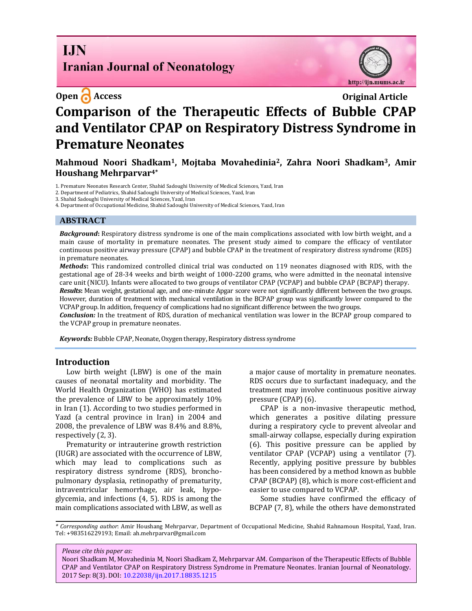# **I.IN Iranian Journal of Neonatology**

http://ijn.mums.ac.ir

# **Open C** Access **Original Article Comparison of the Therapeutic Effects of Bubble CPAP and Ventilator CPAP on Respiratory Distress Syndrome in Premature Neonates**

**Mahmoud Noori Shadkam1, Mojtaba Movahedinia2, Zahra Noori Shadkam3, Amir Houshang Mehrparvar4\***

1. Premature Neonates Research Center, Shahid Sadoughi University of Medical Sciences, Yazd, Iran

2. Department of Pediatrics, Shahid Sadoughi University of Medical Sciences, Yazd, Iran

3. Shahid Sadoughi University of Medical Sciences, Yazd, Iran

4. Department of Occupational Medicine, Shahid Sadoughi University of Medical Sciences, Yazd, Iran

#### **ABSTRACT**

*Background***:** Respiratory distress syndrome is one of the main complications associated with low birth weight, and a main cause of mortality in premature neonates. The present study aimed to compare the efficacy of ventilator continuous positive airway pressure (CPAP) and bubble CPAP in the treatment of respiratory distress syndrome (RDS) in premature neonates.

*Methods***:** This randomized controlled clinical trial was conducted on 119 neonates diagnosed with RDS, with the gestational age of 28-34 weeks and birth weight of 1000-2200 grams, who were admitted in the neonatal intensive care unit (NICU). Infants were allocated to two groups of ventilator CPAP (VCPAP) and bubble CPAP (BCPAP) therapy. *Results***:** Mean weight, gestational age, and one-minute Apgar score were not significantly different between the two groups. However, duration of treatment with mechanical ventilation in the BCPAP group was significantly lower compared to the VCPAP group. In addition, frequency of complications had no significant difference between the two groups.

*Conclusion:* In the treatment of RDS, duration of mechanical ventilation was lower in the BCPAP group compared to the VCPAP group in premature neonates.

*Keywords:* Bubble CPAP, Neonate, Oxygen therapy, Respiratory distress syndrome

#### **Introduction**

Low birth weight (LBW) is one of the main causes of neonatal mortality and morbidity. The World Health Organization (WHO) has estimated the prevalence of LBW to be approximately 10% in Iran (1). According to two studies performed in Yazd (a central province in Iran) in 2004 and 2008, the prevalence of LBW was 8.4% and 8.8%, respectively (2, 3).

Prematurity or intrauterine growth restriction (IUGR) are associated with the occurrence of LBW, which may lead to complications such as respiratory distress syndrome (RDS), bronchopulmonary dysplasia, retinopathy of prematurity, intraventricular hemorrhage, air leak, hypoglycemia, and infections (4, 5). RDS is among the main complications associated with LBW, as well as a major cause of mortality in premature neonates. RDS occurs due to surfactant inadequacy, and the treatment may involve continuous positive airway pressure (CPAP) (6).

CPAP is a non-invasive therapeutic method, which generates a positive dilating pressure during a respiratory cycle to prevent alveolar and small-airway collapse, especially during expiration (6). This positive pressure can be applied by ventilator CPAP (VCPAP) using a ventilator (7). Recently, applying positive pressure by bubbles has been considered by a method known as bubble CPAP (BCPAP) (8), which is more cost-efficient and easier to use compared to VCPAP.

Some studies have confirmed the efficacy of BCPAP (7, 8), while the others have demonstrated

*\* Corresponding author*: Amir Houshang Mehrparvar, Department of Occupational Medicine, Shahid Rahnamoun Hospital, Yazd, Iran. Tel: +983516229193; Email: [ah.mehrparvar@gmail.com](mailto:ah.mehrparvar@gmail.com)

#### *Please cite this paper as:*

Noori Shadkam M, Movahedinia M, Noori Shadkam Z, Mehrparvar AM. Comparison of the Therapeutic Effects of Bubble CPAP and Ventilator CPAP on Respiratory Distress Syndrome in Premature Neonates. Iranian Journal of Neonatology. 2017 Sep: 8(3). DOI: [10.22038/ijn.2017.18835.1215](http://ijn.mums.ac.ir/article_9284.html)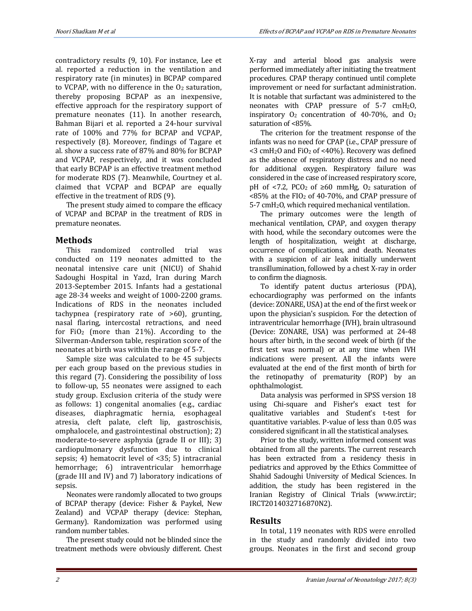contradictory results (9, 10). For instance, Lee et al. reported a reduction in the ventilation and respiratory rate (in minutes) in BCPAP compared to VCPAP, with no difference in the  $O<sub>2</sub>$  saturation, thereby proposing BCPAP as an inexpensive, effective approach for the respiratory support of premature neonates (11). In another research, Bahman Bijari et al. reported a 24-hour survival rate of 100% and 77% for BCPAP and VCPAP, respectively (8). Moreover, findings of Tagare et al. show a success rate of 87% and 80% for BCPAP and VCPAP, respectively, and it was concluded that early BCPAP is an effective treatment method for moderate RDS (7). Meanwhile, Courtney et al. claimed that VCPAP and BCPAP are equally effective in the treatment of RDS (9).

The present study aimed to compare the efficacy of VCPAP and BCPAP in the treatment of RDS in premature neonates.

# **Methods**

This randomized controlled trial was conducted on 119 neonates admitted to the neonatal intensive care unit (NICU) of Shahid Sadoughi Hospital in Yazd, Iran during March 2013-September 2015. Infants had a gestational age 28-34 weeks and weight of 1000-2200 grams. Indications of RDS in the neonates included tachypnea (respiratory rate of >60), grunting, nasal flaring, intercostal retractions, and need for  $FiO<sub>2</sub>$  (more than 21%). According to the Silverman-Anderson table, respiration score of the neonates at birth was within the range of 5-7.

Sample size was calculated to be 45 subjects per each group based on the previous studies in this regard (7). Considering the possibility of loss to follow-up, 55 neonates were assigned to each study group. Exclusion criteria of the study were as follows: 1) congenital anomalies (e.g., cardiac diseases, diaphragmatic hernia, esophageal atresia, cleft palate, cleft lip, gastroschisis, omphalocele, and gastrointestinal obstruction); 2) moderate-to-severe asphyxia (grade II or III); 3) cardiopulmonary dysfunction due to clinical sepsis; 4) hematocrit level of <35; 5) intracranial hemorrhage; 6) intraventricular hemorrhage (grade III and IV) and 7) laboratory indications of sepsis.

Neonates were randomly allocated to two groups of BCPAP therapy (device: Fisher & Paykel, New Zealand) and VCPAP therapy (device: Stephan, Germany). Randomization was performed using random number tables.

The present study could not be blinded since the treatment methods were obviously different. Chest X-ray and arterial blood gas analysis were performed immediately after initiating the treatment procedures. CPAP therapy continued until complete improvement or need for surfactant administration. It is notable that surfactant was administered to the neonates with CPAP pressure of  $5-7$  cmH<sub>2</sub>O, inspiratory  $O_2$  concentration of 40-70%, and  $O_2$ saturation of <85%.

The criterion for the treatment response of the infants was no need for CPAP (i.e., CPAP pressure of  $<$ 3 cmH<sub>2</sub>O and FiO<sub>2</sub> of  $<$ 40%). Recovery was defined as the absence of respiratory distress and no need for additional oxygen. Respiratory failure was considered in the case of increased respiratory score, pH of <7.2, PCO<sub>2</sub> of ≥60 mmHg, O<sub>2</sub> saturation of  $<85\%$  at the FIO<sub>2</sub> of 40-70%, and CPAP pressure of 5-7 cmH2O, which required mechanical ventilation.

The primary outcomes were the length of mechanical ventilation, CPAP, and oxygen therapy with hood, while the secondary outcomes were the length of hospitalization, weight at discharge, occurrence of complications, and death. Neonates with a suspicion of air leak initially underwent transillumination, followed by a chest X-ray in order to confirm the diagnosis.

To identify patent ductus arteriosus (PDA), echocardiography was performed on the infants (device: ZONARE, USA) at the end of the first week or upon the physician's suspicion. For the detection of intraventricular hemorrhage (IVH), brain ultrasound (Device: ZONARE, USA) was performed at 24-48 hours after birth, in the second week of birth (if the first test was normal) or at any time when IVH indications were present. All the infants were evaluated at the end of the first month of birth for the retinopathy of prematurity (ROP) by an ophthalmologist.

Data analysis was performed in SPSS version 18 using Chi-square and Fisher's exact test for qualitative variables and Student's t-test for quantitative variables. P-value of less than 0.05 was considered significant in all the statistical analyses.

Prior to the study, written informed consent was obtained from all the parents. The current research has been extracted from a residency thesis in pediatrics and approved by the Ethics Committee of Shahid Sadoughi University of Medical Sciences. In addition, the study has been registered in the Iranian Registry of Clinical Trials [\(www.irct.ir;](http://www.irct.ir/) IRCT2014032716870N2).

# **Results**

In total, 119 neonates with RDS were enrolled in the study and randomly divided into two groups. Neonates in the first and second group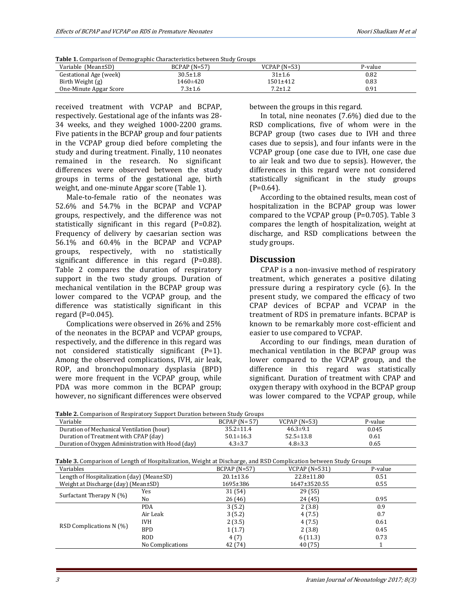| <b>Table 1.</b> Comparison of Demographic Characteristics between Study Groups |  |  |
|--------------------------------------------------------------------------------|--|--|
|                                                                                |  |  |
|                                                                                |  |  |

| Variable (Mean±SD)     | $BCPAP(N=57)$ | $VCPAP (N=53)$ | P-value |
|------------------------|---------------|----------------|---------|
| Gestational Age (week) | 30.5±1.8      | 31±1.6         | 0.82    |
| Birth Weight (g)       | 1460±420      | 1501±412       | 0.83    |
| One-Minute Apgar Score | $7.3 \pm 1.6$ | $7.2 \pm 1.2$  | 0.91    |

received treatment with VCPAP and BCPAP, respectively. Gestational age of the infants was 28- 34 weeks, and they weighed 1000-2200 grams. Five patients in the BCPAP group and four patients in the VCPAP group died before completing the study and during treatment. Finally, 110 neonates remained in the research. No significant differences were observed between the study groups in terms of the gestational age, birth weight, and one-minute Apgar score (Table 1).

Male-to-female ratio of the neonates was 52.6% and 54.7% in the BCPAP and VCPAP groups, respectively, and the difference was not statistically significant in this regard (P=0.82). Frequency of delivery by caesarian section was 56.1% and 60.4% in the BCPAP and VCPAP groups, respectively, with no statistically significant difference in this regard (P=0.88). Table 2 compares the duration of respiratory support in the two study groups. Duration of mechanical ventilation in the BCPAP group was lower compared to the VCPAP group, and the difference was statistically significant in this regard (P=0.045).

Complications were observed in 26% and 25% of the neonates in the BCPAP and VCPAP groups, respectively, and the difference in this regard was not considered statistically significant (P=1). Among the observed complications, IVH, air leak, ROP, and bronchopulmonary dysplasia (BPD) were more frequent in the VCPAP group, while PDA was more common in the BCPAP group; however, no significant differences were observed between the groups in this regard.

In total, nine neonates (7.6%) died due to the RSD complications, five of whom were in the BCPAP group (two cases due to IVH and three cases due to sepsis), and four infants were in the VCPAP group (one case due to IVH, one case due to air leak and two due to sepsis). However, the differences in this regard were not considered statistically significant in the study groups  $(P=0.64)$ .

According to the obtained results, mean cost of hospitalization in the BCPAP group was lower compared to the VCPAP group (P=0.705). Table 3 compares the length of hospitalization, weight at discharge, and RSD complications between the study groups.

#### **Discussion**

CPAP is a non-invasive method of respiratory treatment, which generates a positive dilating pressure during a respiratory cycle (6). In the present study, we compared the efficacy of two CPAP devices of BCPAP and VCPAP in the treatment of RDS in premature infants. BCPAP is known to be remarkably more cost-efficient and easier to use compared to VCPAP.

According to our findings, mean duration of mechanical ventilation in the BCPAP group was lower compared to the VCPAP group, and the difference in this regard was statistically significant. Duration of treatment with CPAP and oxygen therapy with oxyhood in the BCPAP group was lower compared to the VCPAP group, while

| <b>Table 2.</b> Comparison of Respiratory Support Duration between Study Groups                                  |                  |                  |                  |         |
|------------------------------------------------------------------------------------------------------------------|------------------|------------------|------------------|---------|
| Variable                                                                                                         |                  | $BCPAP (N = 57)$ | $VCPAP (N=53)$   | P-value |
| Duration of Mechanical Ventilation (hour)                                                                        |                  | $35.2 \pm 11.4$  | $46.3 \pm 9.1$   | 0.045   |
| Duration of Treatment with CPAP (day)                                                                            |                  | $50.1 \pm 16.3$  | $52.5 \pm 13.8$  | 0.61    |
| Duration of Oxygen Administration with Hood (day)                                                                |                  | $4.3 \pm 3.7$    | $4.8 \pm 3.3$    | 0.65    |
| Table 3. Comparison of Length of Hospitalization, Weight at Discharge, and RSD Complication between Study Groups |                  |                  |                  |         |
| Variables                                                                                                        |                  | $BCPAP (N=57)$   | $VCPAP (N=531)$  | P-value |
| Length of Hospitalization $\text{day}$ (Mean $\pm$ SD)                                                           |                  | $20.1 \pm 13.6$  | $22.8 \pm 11.80$ | 0.51    |
| Weight at Discharge (day) (Mean±SD)                                                                              |                  | 1695±386         | 1647±3520.55     | 0.55    |
|                                                                                                                  | Yes              | 31 (54)          | 29(55)           |         |
| Surfactant Therapy N (%)                                                                                         | No               | 26 (46)          | 24 (45)          | 0.95    |
|                                                                                                                  | <b>PDA</b>       | 3(5.2)           | 2(3.8)           | 0.9     |
|                                                                                                                  | Air Leak         | 3(5.2)           | 4(7.5)           | 0.7     |
|                                                                                                                  | IVH              | 2(3.5)           | 4(7.5)           | 0.61    |
| RSD Complications N (%)                                                                                          | <b>BPD</b>       | 1(1.7)           | 2(3.8)           | 0.45    |
|                                                                                                                  | <b>ROD</b>       | 4(7)             | 6(11.3)          | 0.73    |
|                                                                                                                  | No Complications | 42 (74)          | 40 (75)          |         |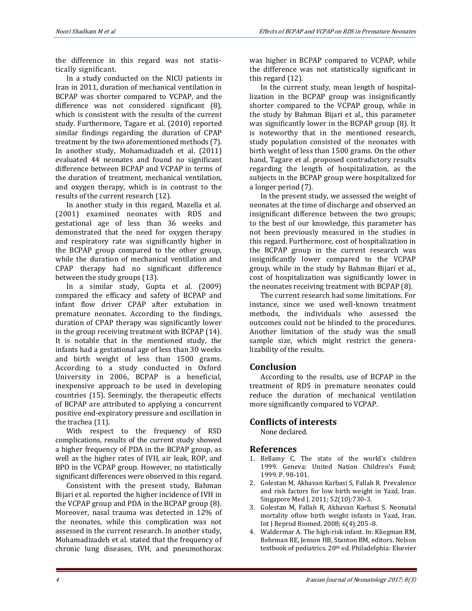the difference in this regard was not statistically significant.

In a study conducted on the NICU patients in Iran in 2011, duration of mechanical ventilation in BCPAP was shorter compared to VCPAP, and the difference was not considered significant (8), which is consistent with the results of the current study. Furthermore, Tagare et al. (2010) reported similar findings regarding the duration of CPAP treatment by the two aforementioned methods (7). In another study, Mohamadizadeh et al. (2011) evaluated 44 neonates and found no significant difference between BCPAP and VCPAP in terms of the duration of treatment, mechanical ventilation, and oxygen therapy, which is in contrast to the results of the current research (12).

In another study in this regard, Mazella et al. (2001) examined neonates with RDS and gestational age of less than 36 weeks and demonstrated that the need for oxygen therapy and respiratory rate was significantly higher in the BCPAP group compared to the other group, while the duration of mechanical ventilation and CPAP therapy had no significant difference between the study groups (13).

In a similar study, Gupta et al. (2009) compared the efficacy and safety of BCPAP and infant flow driver CPAP after extubation in premature neonates. According to the findings, duration of CPAP therapy was significantly lower in the group receiving treatment with BCPAP (14). It is notable that in the mentioned study, the infants had a gestational age of less than 30 weeks and birth weight of less than 1500 grams. According to a study conducted in Oxford University in 2006, BCPAP is a beneficial, inexpensive approach to be used in developing countries (15). Seemingly, the therapeutic effects of BCPAP are attributed to applying a concurrent positive end-expiratory pressure and oscillation in the trachea (11).

With respect to the frequency of RSD complications, results of the current study showed a higher frequency of PDA in the BCPAP group, as well as the higher rates of IVH, air leak, ROP, and BPO in the VCPAP group. However, no statistically significant differences were observed in this regard.

Consistent with the present study, Bahman Bijari et al. reported the higher incidence of IVH in the VCPAP group and PDA in the BCPAP group (8). Moreover, nasal trauma was detected in 12% of the neonates, while this complication was not assessed in the current research. In another study, Mohamadizadeh et al. stated that the frequency of chronic lung diseases, IVH, and pneumothorax was higher in BCPAP compared to VCPAP, while the difference was not statistically significant in this regard (12).

In the current study, mean length of hospitallization in the BCPAP group was insignificantly shorter compared to the VCPAP group, while in the study by Bahman Bijari et al., this parameter was significantly lower in the BCPAP group (8). It is noteworthy that in the mentioned research, study population consisted of the neonates with birth weight of less than 1500 grams. On the other hand, Tagare et al. proposed contradictory results regarding the length of hospitalization, as the subjects in the BCPAP group were hospitalized for a longer period (7).

In the present study, we assessed the weight of neonates at the time of discharge and observed an insignificant difference between the two groups; to the best of our knowledge, this parameter has not been previously measured in the studies in this regard. Furthermore, cost of hospitalization in the BCPAP group in the current research was insignificantly lower compared to the VCPAP group, while in the study by Bahman Bijari et al., cost of hospitalization was significantly lower in the neonates receiving treatment with BCPAP (8).

The current research had some limitations. For instance, since we used well-known treatment methods, the individuals who assessed the outcomes could not be blinded to the procedures. Another limitation of the study was the small sample size, which might restrict the generalizability of the results.

# **Conclusion**

According to the results, use of BCPAP in the treatment of RDS in premature neonates could reduce the duration of mechanical ventilation more significantly compared to VCPAP.

### **Conflicts of interests**

None declared.

### **References**

- 1. Bellamy C. The state of the world's children 1999. Geneva: United Nation Children's Fund; 1999. P. 98-101.
- 2. Golestan M, Akhavan Karbasi S, Fallah R. Prevalence and risk factors for low birth weight in Yazd, Iran. Singapore Med J. 2011; 52(10):730-3.
- 3. Golestan M, Fallah R, Akhavan Karbasi S. Neonatal mortality oflow birth weight infants in Yazd, Iran. Int J Reprod Biomed. 2008; 6(4):205–8.
- 4. Waldermar A. The high-risk infant. In: Kliegman RM, Behrman RE, Jenson HB, Stanton BM, editors. Nelson textbook of pediatrics. 20th ed. Philadelphia: Elsevier